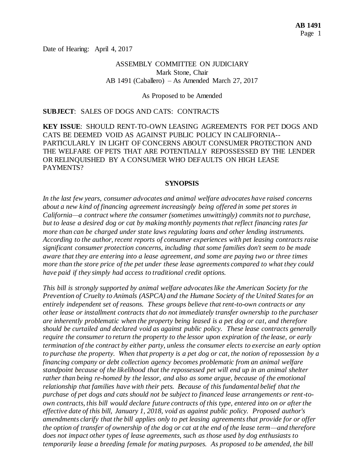Date of Hearing: April 4, 2017

### ASSEMBLY COMMITTEE ON JUDICIARY Mark Stone, Chair AB 1491 (Caballero) – As Amended March 27, 2017

As Proposed to be Amended

#### **SUBJECT**: SALES OF DOGS AND CATS: CONTRACTS

**KEY ISSUE**: SHOULD RENT-TO-OWN LEASING AGREEMENTS FOR PET DOGS AND CATS BE DEEMED VOID AS AGAINST PUBLIC POLICY IN CALIFORNIA-- PARTICULARLY IN LIGHT OF CONCERNS ABOUT CONSUMER PROTECTION AND THE WELFARE OF PETS THAT ARE POTENTIALLY REPOSSESSED BY THE LENDER OR RELINQUISHED BY A CONSUMER WHO DEFAULTS ON HIGH LEASE PAYMENTS?

#### **SYNOPSIS**

*In the last few years, consumer advocates and animal welfare advocates have raised concerns about a new kind of financing agreement increasingly being offered in some pet stores in California—a contract where the consumer (sometimes unwittingly) commits not to purchase, but to lease a desired dog or cat by making monthly payments that reflect financing rates far more than can be charged under state laws regulating loans and other lending instruments. According to the author, recent reports of consumer experiences with pet leasing contracts raise significant consumer protection concerns, including that some families don't seem to be made aware that they are entering into a lease agreement, and some are paying two or three times more than the store price of the pet under these lease agreements compared to what they could have paid if they simply had access to traditional credit options.* 

*This bill is strongly supported by animal welfare advocates like the American Society for the Prevention of Cruelty to Animals (ASPCA) and the Humane Society of the United States for an entirely independent set of reasons. These groups believe that rent-to-own contracts or any other lease or installment contracts that do not immediately transfer ownership to the purchaser are inherently problematic when the property being leased is a pet dog or cat, and therefore should be curtailed and declared void as against public policy. These lease contracts generally require the consumer to return the property to the lessor upon expiration of the lease, or early termination of the contract by either party, unless the consumer elects to exercise an early option to purchase the property. When that property is a pet dog or cat, the notion of repossession by a financing company or debt collection agency becomes problematic from an animal welfare standpoint because of the likelihood that the repossessed pet will end up in an animal shelter rather than being re-homed by the lessor, and also as some argue, because of the emotional relationship that families have with their pets. Because of this fundamental belief that the purchase of pet dogs and cats should not be subject to financed lease arrangements or rent-toown contracts, this bill would declare future contracts of this type, entered into on or after the effective date of this bill, January 1, 2018, void as against public policy. Proposed author's amendments clarify that the bill applies only to pet leasing agreements that provide for or offer the option of transfer of ownership of the dog or cat at the end of the lease term—and therefore does not impact other types of lease agreements, such as those used by dog enthusiasts to temporarily lease a breeding female for mating purposes. As proposed to be amended, the bill*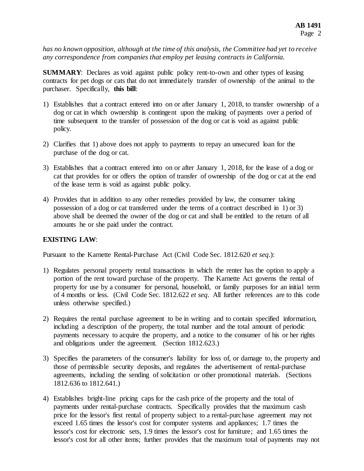*has no known opposition, although at the time of this analysis, the Committee had yet to receive any correspondence from companies that employ pet leasing contracts in California.*

**SUMMARY:** Declares as void against public policy rent-to-own and other types of leasing contracts for pet dogs or cats that do not immediately transfer of ownership of the animal to the purchaser. Specifically, **this bill**:

- 1) Establishes that a contract entered into on or after January 1, 2018, to transfer ownership of a dog or cat in which ownership is contingent upon the making of payments over a period of time subsequent to the transfer of possession of the dog or cat is void as against public policy.
- 2) Clarifies that 1) above does not apply to payments to repay an unsecured loan for the purchase of the dog or cat.
- 3) Establishes that a contract entered into on or after January 1, 2018, for the lease of a dog or cat that provides for or offers the option of transfer of ownership of the dog or cat at the end of the lease term is void as against public policy.
- 4) Provides that in addition to any other remedies provided by law, the consumer taking possession of a dog or cat transferred under the terms of a contract described in 1) or 3) above shall be deemed the owner of the dog or cat and shall be entitled to the return of all amounts he or she paid under the contract.

## **EXISTING LAW**:

Pursuant to the Karnette Rental-Purchase Act (Civil Code Sec. 1812.620 *et seq*.):

- 1) Regulates personal property rental transactions in which the renter has the option to apply a portion of the rent toward purchase of the property. The Karnette Act governs the rental of property for use by a consumer for personal, household, or family purposes for an initial term of 4 months or less. (Civil Code Sec. 1812.622 *et seq*. All further references are to this code unless otherwise specified.)
- 2) Requires the rental purchase agreement to be in writing and to contain specified information, including a description of the property, the total number and the total amount of periodic payments necessary to acquire the property, and a notice to the consumer of his or her rights and obligations under the agreement. (Section 1812.623.)
- 3) Specifies the parameters of the consumer's liability for loss of, or damage to, the property and those of permissible security deposits, and regulates the advertisement of rental-purchase agreements, including the sending of solicitation or other promotional materials. (Sections 1812.636 to 1812.641.)
- 4) Establishes bright-line pricing caps for the cash price of the property and the total of payments under rental-purchase contracts. Specifically provides that the maximum cash price for the lessor's first rental of property subject to a rental-purchase agreement may not exceed 1.65 times the lessor's cost for computer systems and appliances; 1.7 times the lessor's cost for electronic sets, 1.9 times the lessor's cost for furniture; and 1.65 times the lessor's cost for all other items; further provides that the maximum total of payments may not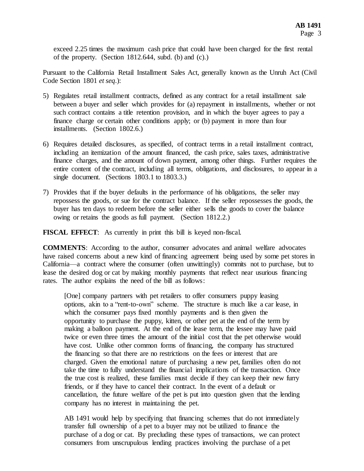exceed 2.25 times the maximum cash price that could have been charged for the first rental of the property. (Section  $1812.644$ , subd. (b) and (c).)

Pursuant to the California Retail Installment Sales Act, generally known as the Unruh Act (Civil Code Section 1801 *et seq*.):

- 5) Regulates retail installment contracts, defined as any contract for a retail installment sale between a buyer and seller which provides for (a) repayment in installments, whether or not such contract contains a title retention provision, and in which the buyer agrees to pay a finance charge or certain other conditions apply; or (b) payment in more than four installments. (Section 1802.6.)
- 6) Requires detailed disclosures, as specified, of contract terms in a retail installment contract, including an itemization of the amount financed, the cash price, sales taxes, administrative finance charges, and the amount of down payment, among other things. Further requires the entire content of the contract, including all terms, obligations, and disclosures, to appear in a single document. (Sections 1803.1 to 1803.3.)
- 7) Provides that if the buyer defaults in the performance of his obligations, the seller may repossess the goods, or sue for the contract balance. If the seller repossesses the goods, the buyer has ten days to redeem before the seller either sells the goods to cover the balance owing or retains the goods as full payment. (Section 1812.2.)

**FISCAL EFFECT**: As currently in print this bill is keyed non-fiscal.

**COMMENTS**: According to the author, consumer advocates and animal welfare advocates have raised concerns about a new kind of financing agreement being used by some pet stores in California—a contract where the consumer (often unwittingly) commits not to purchase, but to lease the desired dog or cat by making monthly payments that reflect near usurious financing rates. The author explains the need of the bill as follows:

[One] company partners with pet retailers to offer consumers puppy leasing options, akin to a "rent-to-own" scheme. The structure is much like a car lease, in which the consumer pays fixed monthly payments and is then given the opportunity to purchase the puppy, kitten, or other pet at the end of the term by making a balloon payment. At the end of the lease term, the lessee may have paid twice or even three times the amount of the initial cost that the pet otherwise would have cost. Unlike other common forms of financing, the company has structured the financing so that there are no restrictions on the fees or interest that are charged. Given the emotional nature of purchasing a new pet, families often do not take the time to fully understand the financial implications of the transaction. Once the true cost is realized, these families must decide if they can keep their new furry friends, or if they have to cancel their contract. In the event of a default or cancellation, the future welfare of the pet is put into question given that the lending company has no interest in maintaining the pet.

AB 1491 would help by specifying that financing schemes that do not immediately transfer full ownership of a pet to a buyer may not be utilized to finance the purchase of a dog or cat. By precluding these types of transactions, we can protect consumers from unscrupulous lending practices involving the purchase of a pet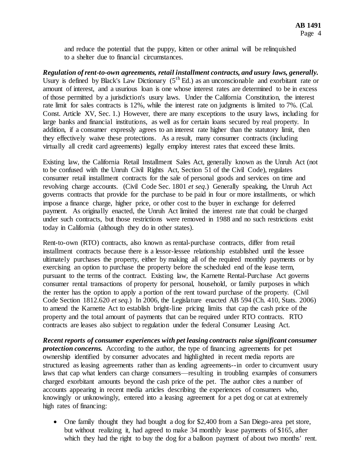and reduce the potential that the puppy, kitten or other animal will be relinquished to a shelter due to financial circumstances.

*Regulation of rent-to-own agreements, retail installment contracts, and usury laws, generally.* Usury is defined by Black's Law Dictionary  $(5^{th}$  Ed.) as an unconscionable and exorbitant rate or amount of interest, and a usurious loan is one whose interest rates are determined to be in excess of those permitted by a jurisdiction's usury laws. Under the California Constitution, the interest rate limit for sales contracts is 12%, while the interest rate on judgments is limited to 7%. (Cal. Const. Article XV, Sec. 1.) However, there are many exceptions to the usury laws, including for large banks and financial institutions, as well as for certain loans secured by real property. In addition, if a consumer expressly agrees to an interest rate higher than the statutory limit, then they effectively waive these protections. As a result, many consumer contracts (including virtually all credit card agreements) legally employ interest rates that exceed these limits.

Existing law, the California Retail Installment Sales Act, generally known as the Unruh Act (not to be confused with the Unruh Civil Rights Act, Section 51 of the Civil Code), regulates consumer retail installment contracts for the sale of personal goods and services on time and revolving charge accounts. (Civil Code Sec. 1801 *et seq*.) Generally speaking, the Unruh Act governs contracts that provide for the purchase to be paid in four or more installments, or which impose a finance charge, higher price, or other cost to the buyer in exchange for deferred payment. As originally enacted, the Unruh Act limited the interest rate that could be charged under such contracts, but those restrictions were removed in 1988 and no such restrictions exist today in California (although they do in other states).

Rent-to-own (RTO) contracts, also known as rental-purchase contracts, differ from retail installment contracts because there is a lessor-lessee relationship established until the lessee ultimately purchases the property, either by making all of the required monthly payments or by exercising an option to purchase the property before the scheduled end of the lease term, pursuant to the terms of the contract. Existing law, the Karnette Rental-Purchase Act governs consumer rental transactions of property for personal, household, or family purposes in which the renter has the option to apply a portion of the rent toward purchase of the property. (Civil Code Section 1812.620 *et seq.*) In 2006, the Legislature enacted AB 594 (Ch. 410, Stats. 2006) to amend the Karnette Act to establish bright-line pricing limits that cap the cash price of the property and the total amount of payments that can be required under RTO contracts. RTO contracts are leases also subject to regulation under the federal Consumer Leasing Act.

*Recent reports of consumer experiences with pet leasing contracts raise significant consumer protection concerns.* According to the author, the type of financing agreements for pet ownership identified by consumer advocates and highlighted in recent media reports are structured as leasing agreements rather than as lending agreements--in order to circumvent usury laws that cap what lenders can charge consumers—resulting in troubling examples of consumers charged exorbitant amounts beyond the cash price of the pet. The author cites a number of accounts appearing in recent media articles describing the experiences of consumers who, knowingly or unknowingly, entered into a leasing agreement for a pet dog or cat at extremely high rates of financing:

• One family thought they had bought a dog for \$2,400 from a San Diego-area pet store, but without realizing it, had agreed to make 34 monthly lease payments of \$165, after which they had the right to buy the dog for a balloon payment of about two months' rent.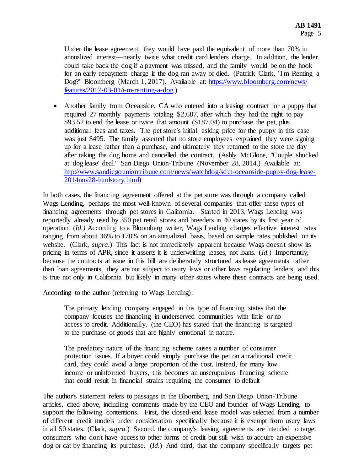Under the lease agreement, they would have paid the equivalent of more than 70% in annualized interest—nearly twice what credit card lenders charge. In addition, the lender could take back the dog if a payment was missed, and the family would be on the hook for an early repayment charge if the dog ran away or died. (Patrick Clark, "I'm Renting a Dog?" Bloomberg (March 1, 2017). Available at: https://www.bloomberg.com/news/ [features/2017-03-01/i-m-renting-a-dog.\)](https://www.bloomberg.com/news/%20features/2017-03-01/i-m-renting-a-dog)

• Another family from Oceanside, CA who entered into a leasing contract for a puppy that required 27 monthly payments totaling \$2,687, after which they had the right to pay \$93.52 to end the lease or twice that amount (\$187.04) to purchase the pet, plus additional fees and taxes. The pet store's initial asking price for the puppy in this case was just \$495. The family asserted that no store employees explained they were signing up for a lease rather than a purchase, and ultimately they returned to the store the day after taking the dog home and cancelled the contract. (Ashly McGlone, "Couple shocked at 'dog lease' deal." San Diego Union-Tribune (November 28, 2014.) Available at: [http://www.sandiegouniontribune.com/news/watchdog/sdut-oceanside-puppy-dog-lease-](http://www.sandiegouniontribune.com/news/watchdog/sdut-oceanside-puppy-dog-lease-2014nov28-htmlstory.html)[2014nov28-htmlstory.html\)](http://www.sandiegouniontribune.com/news/watchdog/sdut-oceanside-puppy-dog-lease-2014nov28-htmlstory.html)

In both cases, the financing agreement offered at the pet store was through a company called Wags Lending, perhaps the most well-known of several companies that offer these types of financing agreements through pet stores in California. Started in 2013, Wags Lending was reportedly already used by 350 pet retail stores and breeders in 40 states by its first year of operation. (*Id.)* According to a Bloomberg writer, Wags Lending charges effective interest rates ranging from about 36% to 170% on an annualized basis, based on sample rates published on its website. (Clark, *supra*.) This fact is not immediately apparent because Wags doesn't show its pricing in terms of APR, since it asserts it is underwriting leases, not loans. (*Id.*) Importantly, because the contracts at issue in this bill are deliberately structured as lease agreements rather than loan agreements, they are not subject to usury laws or other laws regulating lenders, and this is true not only in California but likely in many other states where these contracts are being used.

According to the author (referring to Wags Lending):

The primary lending company engaged in this type of financing states that the company focuses the financing in underserved communities with little or no access to credit. Additionally, (the CEO) has stated that the financing is targeted to the purchase of goods that are highly emotional in nature.

The predatory nature of the financing scheme raises a number of consumer protection issues. If a buyer could simply purchase the pet on a traditional credit card, they could avoid a large proportion of the cost. Instead, for many low income or uninformed buyers, this becomes an unscrupulous financing scheme that could result in financial strains requiring the consumer to default

The author's statement refers to passages in the Bloomberg and San Diego Union-Tribune articles, cited above, including comments made by the CEO and founder of Wags Lending, to support the following contentions. First, the closed-end lease model was selected from a number of different credit models under consideration specifically because it is exempt from usury laws in all 50 states. (Clark, *supra.*) Second, the company's leasing agreements are intended to target consumers who don't have access to other forms of credit but still wish to acquire an expensive dog or cat by financing its purchase. (*Id*.) And third, that the company specifically targets pet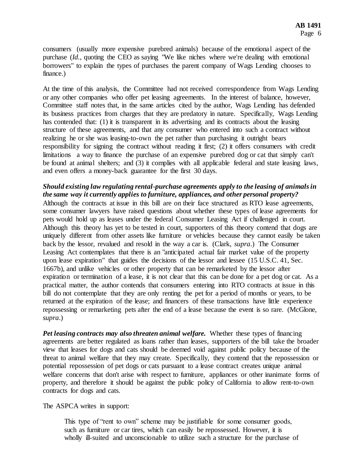consumers (usually more expensive purebred animals) because of the emotional aspect of the purchase (*Id.*, quoting the CEO as saying "We like niches where we're dealing with emotional borrowers" to explain the types of purchases the parent company of Wags Lending chooses to finance.)

At the time of this analysis, the Committee had not received correspondence from Wags Lending or any other companies who offer pet leasing agreements. In the interest of balance, however, Committee staff notes that, in the same articles cited by the author, Wags Lending has defended its business practices from charges that they are predatory in nature. Specifically, Wags Lending has contended that: (1) it is transparent in its advertising and its contracts about the leasing structure of these agreements, and that any consumer who entered into such a contract without realizing he or she was leasing-to-own the pet rather than purchasing it outright bears responsibility for signing the contract without reading it first; (2) it offers consumers with credit limitations a way to finance the purchase of an expensive purebred dog or cat that simply can't be found at animal shelters; and (3) it complies with all applicable federal and state leasing laws, and even offers a money-back guarantee for the first 30 days.

## *Should existing law regulating rental-purchase agreements apply to the leasing of animals in the same way it currently applies to furniture, appliances, and other personal property?*

Although the contracts at issue in this bill are on their face structured as RTO lease agreements, some consumer lawyers have raised questions about whether these types of lease agreements for pets would hold up as leases under the federal Consumer Leasing Act if challenged in court. Although this theory has yet to be tested in court, supporters of this theory contend that dogs are uniquely different from other assets like furniture or vehicles because they cannot easily be taken back by the lessor, revalued and resold in the way a car is. (Clark, *supra*.) The Consumer Leasing Act contemplates that there is an "anticipated actual fair market value of the property upon lease expiration" that guides the decisions of the lessor and lessee (15 U.S.C. 41, Sec. 1667b), and unlike vehicles or other property that can be remarketed by the lessor after expiration or termination of a lease, it is not clear that this can be done for a pet dog or cat. As a practical matter, the author contends that consumers entering into RTO contracts at issue in this bill do not contemplate that they are only renting the pet for a period of months or years, to be returned at the expiration of the lease; and financers of these transactions have little experience repossessing or remarketing pets after the end of a lease because the event is so rare. (McGlone, *supra*.)

*Pet leasing contracts may also threaten animal welfare.* Whether these types of financing agreements are better regulated as loans rather than leases, supporters of the bill take the broader view that leases for dogs and cats should be deemed void against public policy because of the threat to animal welfare that they may create. Specifically, they contend that the repossession or potential repossession of pet dogs or cats pursuant to a lease contract creates unique animal welfare concerns that don't arise with respect to furniture, appliances or other inanimate forms of property, and therefore it should be against the public policy of California to allow rent-to-own contracts for dogs and cats.

#### The ASPCA writes in support:

This type of "rent to own" scheme may be justifiable for some consumer goods, such as furniture or car tires, which can easily be repossessed. However, it is wholly ill-suited and unconscionable to utilize such a structure for the purchase of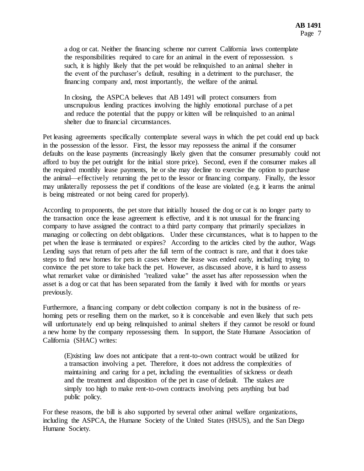a dog or cat. Neither the financing scheme nor current California laws contemplate the responsibilities required to care for an animal in the event of repossession. s such, it is highly likely that the pet would be relinquished to an animal shelter in the event of the purchaser's default, resulting in a detriment to the purchaser, the financing company and, most importantly, the welfare of the animal.

In closing, the ASPCA believes that AB 1491 will protect consumers from unscrupulous lending practices involving the highly emotional purchase of a pet and reduce the potential that the puppy or kitten will be relinquished to an animal shelter due to financial circumstances.

Pet leasing agreements specifically contemplate several ways in which the pet could end up back in the possession of the lessor. First, the lessor may repossess the animal if the consumer defaults on the lease payments (increasingly likely given that the consumer presumably could not afford to buy the pet outright for the initial store price). Second, even if the consumer makes all the required monthly lease payments, he or she may decline to exercise the option to purchase the animal—effectively returning the pet to the lessor or financing company. Finally, the lessor may unilaterally repossess the pet if conditions of the lease are violated (e.g. it learns the animal is being mistreated or not being cared for properly).

According to proponents, the pet store that initially housed the dog or cat is no longer party to the transaction once the lease agreement is effective, and it is not unusual for the financing company to have assigned the contract to a third party company that primarily specializes in managing or collecting on debt obligations. Under these circumstances, what is to happen to the pet when the lease is terminated or expires? According to the articles cited by the author, Wags Lending says that return of pets after the full term of the contract is rare, and that it does take steps to find new homes for pets in cases where the lease was ended early, including trying to convince the pet store to take back the pet. However, as discussed above, it is hard to assess what remarket value or diminished "realized value" the asset has after repossession when the asset is a dog or cat that has been separated from the family it lived with for months or years previously.

Furthermore, a financing company or debt collection company is not in the business of rehoming pets or reselling them on the market, so it is conceivable and even likely that such pets will unfortunately end up being relinquished to animal shelters if they cannot be resold or found a new home by the company repossessing them. In support, the State Humane Association of California (SHAC) writes:

(E)xisting law does not anticipate that a rent-to-own contract would be utilized for a transaction involving a pet. Therefore, it does not address the complexities of maintaining and caring for a pet, including the eventualities of sickness or death and the treatment and disposition of the pet in case of default. The stakes are simply too high to make rent-to-own contracts involving pets anything but bad public policy.

For these reasons, the bill is also supported by several other animal welfare organizations, including the ASPCA, the Humane Society of the United States (HSUS), and the San Diego Humane Society.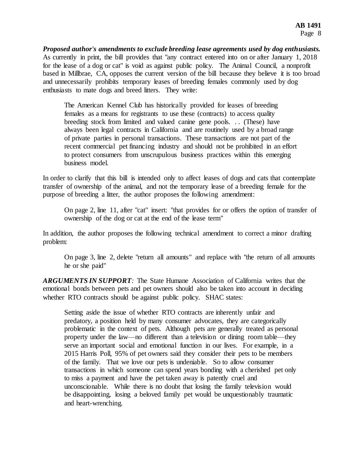*Proposed author's amendments to exclude breeding lease agreements used by dog enthusiasts.* As currently in print, the bill provides that "any contract entered into on or after January 1, 2018 for the lease of a dog or cat" is void as against public policy. The Animal Council, a nonprofit based in Millbrae, CA, opposes the current version of the bill because they believe it is too broad and unnecessarily prohibits temporary leases of breeding females commonly used by dog enthusiasts to mate dogs and breed litters. They write:

The American Kennel Club has historically provided for leases of breeding females as a means for registrants to use these (contracts) to access quality breeding stock from limited and valued canine gene pools. . . (These) have always been legal contracts in California and are routinely used by a broad range of private parties in personal transactions. These transactions are not part of the recent commercial pet financing industry and should not be prohibited in an effort to protect consumers from unscrupulous business practices within this emerging business model.

In order to clarify that this bill is intended only to affect leases of dogs and cats that contemplate transfer of ownership of the animal, and not the temporary lease of a breeding female for the purpose of breeding a litter, the author proposes the following amendment:

On page 2, line 11, after "cat" insert: "that provides for or offers the option of transfer of ownership of the dog or cat at the end of the lease term"

In addition, the author proposes the following technical amendment to correct a minor drafting problem:

On page 3, line 2, delete "return all amounts" and replace with "the return of all amounts he or she paid"

*ARGUMENTS IN SUPPORT:* The State Humane Association of California writes that the emotional bonds between pets and pet owners should also be taken into account in deciding whether RTO contracts should be against public policy. SHAC states:

Setting aside the issue of whether RTO contracts are inherently unfair and predatory, a position held by many consumer advocates, they are categorically problematic in the context of pets. Although pets are generally treated as personal property under the law—no different than a television or dining room table—they serve an important social and emotional function in our lives. For example, in a 2015 Harris Poll, 95% of pet owners said they consider their pets to be members of the family. That we love our pets is undeniable. So to allow consumer transactions in which someone can spend years bonding with a cherished pet only to miss a payment and have the pet taken away is patently cruel and unconscionable. While there is no doubt that losing the family television would be disappointing, losing a beloved family pet would be unquestionably traumatic and heart-wrenching.